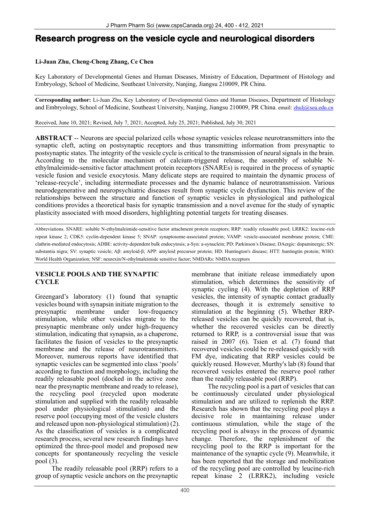# **Research progress on the vesicle cycle and neurological disorders**

#### **Li-Juan Zhu, Cheng-Cheng Zhang, Ce Chen**

Key Laboratory of Developmental Genes and Human Diseases, Ministry of Education, Department of Histology and Embryology, School of Medicine, Southeast University, Nanjing, Jiangsu 210009, PR China.

**Corresponding author:** Li-Juan Zhu, Key Laboratory of Developmental Genes and Human Diseases, Department of Histology and Embryology, School of Medicine, Southeast University, Nanjing, Jiangsu 210009, PR China. email[: zhulj@seu.edu.cn](mailto:zhulj@seu.edu.cn)

Received, June 10, 2021; Revised, July 7, 2021; Accepted, July 25, 2021; Published, July 30, 2021

**ABSTRACT** -- Neurons are special polarized cells whose synaptic vesicles release neurotransmitters into the synaptic cleft, acting on postsynaptic receptors and thus transmitting information from presynaptic to postsynaptic states. The integrity of the vesicle cycle is critical to the transmission of neural signals in the brain. According to the molecular mechanism of calcium-triggered release, the assembly of soluble Nethylmaleimide-sensitive factor attachment protein receptors (SNAREs) is required in the process of synaptic vesicle fusion and vesicle exocytosis. Many delicate steps are required to maintain the dynamic process of 'release-recycle', including intermediate processes and the dynamic balance of neurotransmission. Various neurodegenerative and neuropsychiatric diseases result from synaptic cycle dysfunction. This review of the relationships between the structure and function of synaptic vesicles in physiological and pathological conditions provides a theoretical basis for synaptic transmission and a novel avenue for the study of synaptic plasticity associated with mood disorders, highlighting potential targets for treating diseases.

Abbreviations. SNARE: soluble N-ethylmaleimide-sensitive factor attachment protein receptors; RRP: readily releasable pool; LRRK2: leucine-rich repeat kinase 2; CDK5: cyclin-dependent kinase 5; SNAP: synaptosome-associated protein; VAMP: vesicle-associated membrane protein; CME: clathrin-mediated endocytosis; ADBE: activity-dependent bulk endocytosis; a-Syn: a-synuclein; PD: Parkinson's Disease; DAergic: dopaminergic; SN: substantia nigra; SV: synaptic vesicle; Aβ: amyloid-β; APP: amyloid precursor protein; HD: Huntington's disease; HTT: huntingtin protein; WHO: World Health Organization; NSF: neurexin/N-ethylmaleimide sensitive factor; NMDARs: NMDA receptors

#### **VESICLE POOLS AND THE SYNAPTIC CYCLE**

Greengard's laboratory (1) found that synaptic vesicles bound with synapsin initiate migration to the presynaptic membrane under low-frequency stimulation, while other vesicles migrate to the presynaptic membrane only under high-frequency stimulation, indicating that synapsin, as a chaperone, facilitates the fusion of vesicles to the presynaptic membrane and the release of neurotransmitters. Moreover, numerous reports have identified that synaptic vesicles can be segmented into class 'pools' according to function and morphology, including the readily releasable pool (docked in the active zone near the presynaptic membrane and ready to release), the recycling pool (recycled upon moderate stimulation and supplied with the readily releasable pool under physiological stimulation) and the reserve pool (occupying most of the vesicle clusters and released upon non-physiological stimulation) (2). As the classification of vesicles is a complicated research process, several new research findings have optimized the three-pool model and proposed new concepts for spontaneously recycling the vesicle pool (3).

The readily releasable pool (RRP) refers to a group of synaptic vesicle anchors on the presynaptic

membrane that initiate release immediately upon stimulation, which determines the sensitivity of synaptic cycling (4). With the depletion of RRP vesicles, the intensity of synaptic contact gradually decreases, though it is extremely sensitive to stimulation at the beginning (5). Whether RRPreleased vesicles can be quickly recovered, that is, whether the recovered vesicles can be directly returned to RRP, is a controversial issue that was raised in 2007 (6). Tsien et al. (7) found that recovered vesicles could be re-released quickly with FM dye, indicating that RRP vesicles could be quickly reused. However, Murthy's lab (8) found that recovered vesicles entered the reserve pool rather than the readily releasable pool (RRP).

The recycling pool is a part of vesicles that can be continuously circulated under physiological stimulation and are utilized to replenish the RRP. Research has shown that the recycling pool plays a decisive role in maintaining release under continuous stimulation, while the stage of the recycling pool is always in the process of dynamic change. Therefore, the replenishment of the recycling pool to the RRP is important for the maintenance of the synaptic cycle (9). Meanwhile, it has been reported that the storage and mobilization of the recycling pool are controlled by leucine-rich repeat kinase 2 (LRRK2), including vesicle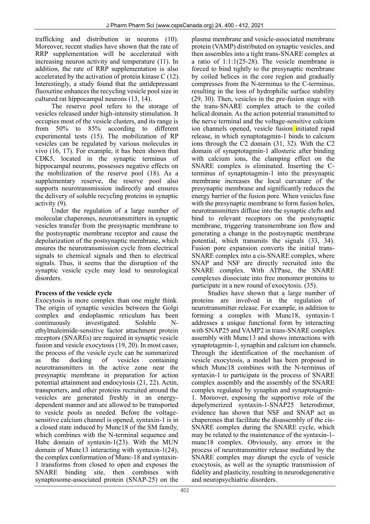trafficking and distribution in neurons (10). Moreover, recent studies have shown that the rate of RRP supplementation will be accelerated with increasing neuron activity and temperature (11). In addition, the rate of RRP supplementation is also accelerated by the activation of protein kinase C (12). Interestingly, a study found that the antidepressant fluoxetine enhances the recycling vesicle pool size in cultured rat hippocampal neurons (13, 14).

The reserve pool refers to the storage of vesicles released under high-intensity stimulation. It occupies most of the vesicle clusters, and its range is from 50% to 85% according to different experimental tests (15). The mobilization of RP vesicles can be regulated by various molecules in vivo (16, 17). For example, it has been shown that CDK5, located in the synaptic terminus of hippocampal neurons, possesses negative effects on the mobilization of the reserve pool (18). As a supplementary reserve, the reserve pool also supports neurotransmission indirectly and ensures the delivery of soluble recycling proteins in synaptic activity (9).

Under the regulation of a large number of molecular chaperones, neurotransmitters in synaptic vesicles transfer from the presynaptic membrane to the postsynaptic membrane receptor and cause the depolarization of the postsynaptic membrane, which ensures the neurotransmission cycle from electrical signals to chemical signals and then to electrical signals. Thus, it seems that the disruption of the synaptic vesicle cycle may lead to neurological disorders.

# **Process of the vesicle cycle**

Exocytosis is more complex than one might think. The origin of synaptic vesicles between the Golgi complex and endoplasmic reticulum has been continuously investigated. Soluble Nethylmaleimide-sensitive factor attachment protein receptors (SNAREs) are required in synaptic vesicle fusion and vesicle exocytosis (19, 20). In most cases, the process of the vesicle cycle can be summarized as the docking of vesicles containing neurotransmitters in the active zone near the presynaptic membrane in preparation for action potential attainment and endocytosis (21, 22). Actin, transporters, and other proteins recruited around the vesicles are generated freshly in an energydependent manner and are allowed to be transported to vesicle pools as needed. Before the voltagesensitive calcium channel is opened, syntaxin-1 is in a closed state induced by Munc18 of the SM family, which combines with the N-terminal sequence and Habc domain of syntaxin-1(23). With the MUN domain of Munc13 interacting with syntaxin-1(24), the complex conformation of Munc-18 and syntaxin-1 transforms from closed to open and exposes the SNARE binding site, then combines with synaptosome-associated protein (SNAP-25) on the

plasma membrane and vesicle-associated membrane protein (VAMP) distributed on synaptic vesicles, and then assembles into a tight trans-SNARE complex at a ratio of 1:1:1(25-28). The vesicle membrane is forced to bind tightly to the presynaptic membrane by coiled helices in the core region and gradually compresses from the N-terminus to the C-terminus, resulting in the loss of hydrophilic surface stability (29, 30). Then, vesicles in the pre-fusion stage with the trans-SNARE complex attach to the coiled helical domain. As the action potential transmitted to the nerve terminal and the voltage-sensitive calcium ion channels opened, vesicle fusion initiated rapid release, in which synaptotagmin-1 binds to calcium ions through the C2 domain (31, 32). With the C2 domain of synaptotagmin-1 allosteric after binding with calcium ions, the clamping effect on the SNARE complex is eliminated. Inserting the Cterminus of synaptotagmin-1 into the presynaptic membrane increases the local curvature of the presynaptic membrane and significantly reduces the energy barrier of the fusion pore. When vesicles fuse with the presynaptic membrane to form fusion holes, neurotransmitters diffuse into the synaptic clefts and bind to relevant receptors on the postsynaptic membrane, triggering transmembrane ion flow and generating a change in the postsynaptic membrane potential, which transmits the signals (33, 34). Fusion pore expansion converts the initial trans-SNARE complex into a cis-SNARE complex, where SNAP and NSF are directly recruited into the SNARE complex. With ATPase, the SNARE complexes dissociate into free monomer proteins to participate in a new round of exocytosis. (35).

Studies have shown that a large number of proteins are involved in the regulation of neurotransmitter release. For example, in addition to forming a complex with Munc18, syntaxin-1 addresses a unique functional form by interacting with SNAP25 and VAMP2 in trans-SNARE complex assembly with Munc13 and shows interactions with synaptotagmin-1, synaphin and calcium ion channels. Through the identification of the mechanism of vesicle exocytosis, a model has been proposed in which Munc18 combines with the N-terminus of syntaxin-1 to participate in the process of SNARE complex assembly and the assembly of the SNARE complex regulated by synaphin and synaptotagmin-1. Moreover, exposing the supportive role of the depolymerized syntaxin-1-SNAP25 heterodimer, evidence has shown that NSF and SNAP act as chaperones that facilitate the disassembly of the cis-SNARE complex during the SNARE cycle, which may be related to the maintenance of the syntaxin-1 munc18 complex. Obviously, any errors in the process of neurotransmitter release mediated by the SNARE complex may disrupt the cycle of vesicle exocytosis, as well as the synaptic transmission of fidelity and plasticity, resulting in neurodegenerative and neuropsychiatric disorders.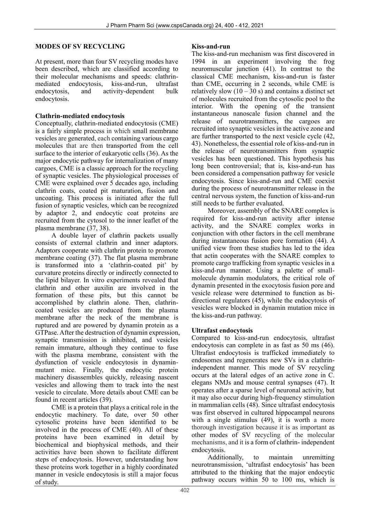### **MODES OF SV RECYCLING**

At present, more than four SV recycling modes have been described, which are classified according to their molecular mechanisms and speeds: clathrinmediated endocytosis, kiss-and-run, ultrafast endocytosis, and activity-dependent bulk endocytosis.

### **Clathrin-mediated endocytosis**

Conceptually, clathrin-mediated endocytosis (CME) is a fairly simple process in which small membrane vesicles are generated, each containing various cargo molecules that are then transported from the cell surface to the interior of eukaryotic cells (36). As the major endocytic pathway for internalization of many cargoes, CME is a classic approach for the recycling of synaptic vesicles. The physiological processes of CME were explained over 5 decades ago, including clathrin coats, coated pit maturation, fission and uncoating. This process is initiated after the full fusion of synaptic vesicles, which can be recognized by adaptor 2, and endocytic coat proteins are recruited from the cytosol to the inner leaflet of the plasma membrane (37, 38).

A double layer of clathrin packets usually consists of external clathrin and inner adaptors. Adaptors cooperate with clathrin protein to promote membrane coating (37). The flat plasma membrane is transformed into a 'clathrin-coated pit' by curvature proteins directly or indirectly connected to the lipid bilayer. In vitro experiments revealed that clathrin and other auxilin are involved in the formation of these pits, but this cannot be accomplished by clathrin alone. Then, clathrincoated vesicles are produced from the plasma membrane after the neck of the membrane is ruptured and are powered by dynamin protein as a GTPase. After the destruction of dynamin expression, synaptic transmission is inhibited, and vesicles remain immature, although they continue to fuse with the plasma membrane, consistent with the dysfunction of vesicle endocytosis in dynaminmutant mice. Finally, the endocytic protein machinery disassembles quickly, releasing nascent vesicles and allowing them to track into the nest vesicle to circulate. More details about CME can be found in recent articles (39).

CME is a protein that plays a critical role in the endocytic machinery. To date, over 50 other cytosolic proteins have been identified to be involved in the process of CME (40). All of these proteins have been examined in detail by biochemical and biophysical methods, and their activities have been shown to facilitate different steps of endocytosis. However, understanding how these proteins work together in a highly coordinated manner in vesicle endocytosis is still a major focus of study.

### **Kiss-and-run**

The kiss-and-run mechanism was first discovered in 1994 in an experiment involving the frog neuromuscular junction (41). In contrast to the classical CME mechanism, kiss-and-run is faster than CME, occurring in 2 seconds, while CME is relatively slow  $(10 - 30 s)$  and contains a distinct set of molecules recruited from the cytosolic pool to the interior. With the opening of the transient instantaneous nanoscale fusion channel and the release of neurotransmitters, the cargoes are recruited into synaptic vesicles in the active zone and are further transported to the next vesicle cycle (42, 43). Nonetheless, the essential role of kiss-and-run in the release of neurotransmitters from synaptic vesicles has been questioned. This hypothesis has long been controversial; that is, kiss-and-run has been considered a compensation pathway for vesicle endocytosis. Since kiss-and-run and CME coexist during the process of neurotransmitter release in the central nervous system, the function of kiss-and-run still needs to be further evaluated.

Moreover, assembly of the SNARE complex is required for kiss-and-run activity after intense activity, and the SNARE complex works in conjunction with other factors in the cell membrane during instantaneous fusion pore formation (44). A unified view from these studies has led to the idea that actin cooperates with the SNARE complex to promote cargo trafficking from synaptic vesicles in a kiss-and-run manner. Using a palette of smallmolecule dynamin modulators, the critical role of dynamin presented in the exocytosis fusion pore and vesicle release were determined to function as bidirectional regulators (45), while the endocytosis of vesicles were blocked in dynamin mutation mice in the kiss-and-run pathway.

# **Ultrafast endocytosis**

Compared to kiss-and-run endocytosis, ultrafast endocytosis can complete in as fast as 50 ms (46). Ultrafast endocytosis is trafficked immediately to endosomes and regenerates new SVs in a clathrinindependent manner. This mode of SV recycling occurs at the lateral edges of an active zone in C. elegans NMJs and mouse central synapses (47). It operates after a sparse level of neuronal activity, but it may also occur during high-frequency stimulation in mammalian cells (48). Since ultrafast endocytosis was first observed in cultured hippocampal neurons with a single stimulus (49), it is worth a more thorough investigation because it is as important as other modes of SV recycling of the molecular mechanisms, and it is a form of clathrin- independent endocytosis.

Additionally, to maintain unremitting neurotransmission, 'ultrafast endocytosis' has been attributed to the thinking that the major endocytic pathway occurs within 50 to 100 ms, which is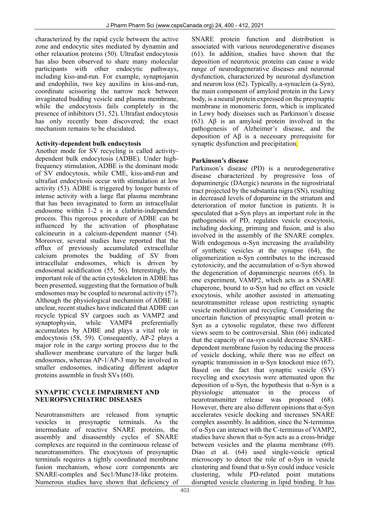characterized by the rapid cycle between the active zone and endocytic sites mediated by dynamin and other relaxation proteins (50). Ultrafast endocytosis has also been observed to share many molecular participants with other endocytic pathways, including kiss-and-run. For example, synaptojanin and endophilin, two key auxilins in kiss-and-run, coordinate scissoring the narrow neck between invaginated budding vesicle and plasma membrane, while the endocytosis fails completely in the presence of inhibitors (51, 52). Ultrafast endocytosis has only recently been discovered; the exact mechanism remains to be elucidated.

#### **Activity-dependent bulk endocytosis**

Another mode for SV recycling is called activitydependent bulk endocytosis (ADBE). Under highfrequency stimulation, ADBE is the dominant mode of SV endocytosis, while CME, kiss-and-run and ultrafast endocytosis occur with stimulation at low activity (53). ADBE is triggered by longer bursts of intense activity with a large flat plasma membrane that has been invaginated to form an intracellular endosome within 1-2 s in a clathrin-independent process. This rigorous procedure of ADBE can be influenced by the activation of phosphatase calcineurin in a calcium-dependent manner (54). Moreover, several studies have reported that the efflux of previously accumulated extracellular calcium promotes the budding of SV from intracellular endosomes, which is driven by endosomal acidification (55, 56). Interestingly, the important role of the actin cytoskeleton in ADBE has been presented, suggesting that the formation of bulk endosomes may be coupled to neuronal activity (57). Although the physiological mechanism of ADBE is unclear, recent studies have indicated that ADBE can recycle typical SV cargoes such as VAMP2 and synaptophysin, while VAMP4 preferentially accumulates by ADBE and plays a vital role in endocytosis (58, 59). Consequently, AP-2 plays a major role in the cargo sorting process due to the shallower membrane curvature of the larger bulk endosomes, whereas AP-1/AP-3 may be involved in smaller endosomes, indicating different adaptor proteins assemble in fresh SVs (60).

#### **SYNAPTIC CYCLE IMPAIRMENT AND NEUROPSYCHIATRIC DISEASES**

Neurotransmitters are released from synaptic vesicles in presynaptic terminals. As the intermediate of reactive SNARE proteins, the assembly and disassembly cycles of SNARE complexes are required in the continuous release of neurotransmitters. The exocytosis of presynaptic terminals requires a tightly coordinated membrane fusion mechanism, whose core components are SNARE-complex and Sec1/Munc18-like proteins. Numerous studies have shown that deficiency of

SNARE protein function and distribution is associated with various neurodegenerative diseases (61). In addition, studies have shown that the deposition of neurotoxic proteins can cause a wide range of neurodegenerative diseases and neuronal dysfunction, characterized by neuronal dysfunction and neuron loss (62). Typically, a-synuclein (a-Syn), the main component of amyloid protein in the Lewy body, is a neural protein expressed on the presynaptic membrane in monomeric form, which is implicated in Lewy body diseases such as Parkinson's disease (63). Aβ is an amyloid protein involved in the pathogenesis of Alzheimer's disease, and the deposition of Aβ is a necessary prerequisite for synaptic dysfunction and precipitation.

#### **Parkinson's disease**

Parkinson's disease (PD) is a neurodegenerative disease characterized by progressive loss of dopaminergic (DAergic) neurons in the nigrostriatal tract projected by the substantia nigra (SN), resulting in decreased levels of dopamine in the striatum and deterioration of motor function in patients. It is speculated that a-Syn plays an important role in the pathogenesis of PD, regulates vesicle exocytosis, including docking, priming and fusion, and is also involved in the assembly of the SNARE complex. With endogenous  $\alpha$ -Syn increasing the availability of synthetic vesicles at the synapse (64), the oligomerization α-Syn contributes to the increased cytotoxicity, and the accumulation of α-Syn showed the degeneration of dopaminergic neurons (65). In one experiment, VAMP2, which acts as a SNARE chaperone, bound to  $\alpha$ -Syn had no effect on vesicle exocytosis, while another assisted in attenuating neurotransmitter release upon restricting synaptic vesicle mobilization and recycling. Considering the uncertain function of presynaptic small protein  $α$ -Syn as a cytosolic regulator, these two different views seem to be controversial. Shin (66) indicated that the capacity of αa-syn could decrease SNAREdependent membrane fusion by reducing the process of vesicle docking, while there was no effect on synaptic transmission in  $\alpha$ -Syn knockout mice (67). Based on the fact that synaptic vesicle (SV) recycling and exocytosis were attenuated upon the deposition of α-Syn, the hypothesis that α-Syn is a physiologic attenuator in the process of neurotransmitter release was proposed (68). However, there are also different opinions that  $\alpha$ -Syn accelerates vesicle docking and increases SNARE complex assembly. In addition, since the N-terminus of α-Syn can interact with the C-terminus of VAMP2, studies have shown that  $\alpha$ -Syn acts as a cross-bridge between vesicles and the plasma membrane (69). Diao et al. (64) used single-vesicle optical microscopy to detect the role of  $\alpha$ -Syn in vesicle clustering and found that  $\alpha$ -Syn could induce vesicle clustering, while PD-related point mutations disrupted vesicle clustering in lipid binding. It has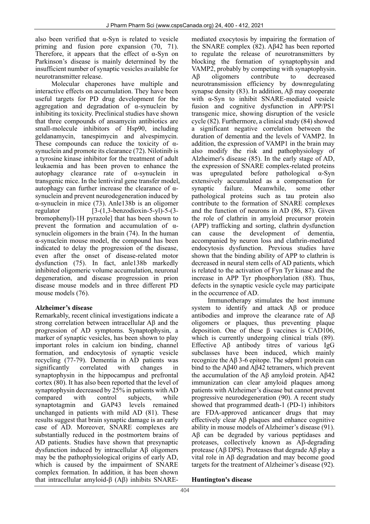also been verified that  $\alpha$ -Syn is related to vesicle priming and fusion pore expansion (70, 71). Therefore, it appears that the effect of  $\alpha$ -Syn on Parkinson's disease is mainly determined by the insufficient number of synaptic vesicles available for neurotransmitter release.

Molecular chaperones have multiple and interactive effects on accumulation. They have been useful targets for PD drug development for the aggregation and degradation of α-synuclein by inhibiting its toxicity. Preclinical studies have shown that three compounds of ansamycin antibiotics are small-molecule inhibitors of Hsp90, including geldanamycin, tanespimycin and alvespimycin. These compounds can reduce the toxicity of  $\alpha$ synuclein and promote its clearance (72). Nilotinib is a tyrosine kinase inhibitor for the treatment of adult leukaemia and has been proven to enhance the autophagy clearance rate of α-synuclein in transgenic mice. In the lentiviral gene transfer model, autophagy can further increase the clearance of αsynuclein and prevent neurodegeneration induced by α-synuclein in mice (73). Anle138b is an oligomer regulator  $[3-(1,3-benzodioxin-5-y])-5-(3$ bromophenyl)-1H pyrazole] that has been shown to prevent the formation and accumulation of αsynuclein oligomers in the brain (74). In the human α-synuclein mouse model, the compound has been indicated to delay the progression of the disease, even after the onset of disease-related motor dysfunction (75). In fact, anle138b markedly inhibited oligomeric volume accumulation, neuronal degeneration, and disease progression in prion disease mouse models and in three different PD mouse models (76).

### **Alzheimer's disease**

Remarkably, recent clinical investigations indicate a strong correlation between intracellular Aβ and the progression of AD symptoms. Synaptophysin, a marker of synaptic vesicles, has been shown to play important roles in calcium ion binding, channel formation, and endocytosis of synaptic vesicle recycling (77-79). Dementia in AD patients was significantly correlated with changes in synaptophysin in the hippocampus and prefrontal cortex (80). It has also been reported that the level of synaptophysin decreased by 25% in patients with AD compared with control subjects, while synaptotagmin and GAP43 levels remained unchanged in patients with mild AD (81). These results suggest that brain synaptic damage is an early case of AD. Moreover, SNARE complexes are substantially reduced in the postmortem brains of AD patients. Studies have shown that presynaptic dysfunction induced by intracellular Aβ oligomers may be the pathophysiological origins of early AD, which is caused by the impairment of SNARE complex formation. In addition, it has been shown that intracellular amyloid-β (Aβ) inhibits SNARE-

mediated exocytosis by impairing the formation of the SNARE complex (82). Aβ42 has been reported to regulate the release of neurotransmitters by blocking the formation of synaptophysin and VAMP2, probably by competing with synaptophysin. Aβ oligomers contribute to decreased neurotransmission efficiency by downregulating synapse density (83). In addition, Aβ may cooperate with α-Syn to inhibit SNARE-mediated vesicle fusion and cognitive dysfunction in APP/PS1 transgenic mice, showing disruption of the vesicle cycle (82). Furthermore, a clinical study (84) showed a significant negative correlation between the duration of dementia and the levels of VAMP2. In addition, the expression of VAMP1 in the brain may also modify the risk and pathophysiology of Alzheimer's disease (85). In the early stage of AD, the expression of SNARE complex-related proteins was upregulated before pathological α-Syn extensively accumulated as a compensation for synaptic failure. Meanwhile, some other pathological proteins such as tau protein also contribute to the formation of SNARE complexes and the function of neurons in AD (86, 87). Given the role of clathrin in amyloid precursor protein (APP) trafficking and sorting, clathrin dysfunction can cause the development of dementia, accompanied by neuron loss and clathrin-mediated endocytosis dysfunction. Previous studies have shown that the binding ability of APP to clathrin is decreased in neural stem cells of AD patients, which is related to the activation of Fyn Tyr kinase and the increase in APP Tyr phosphorylation (88). Thus, defects in the synaptic vesicle cycle may participate in the occurrence of AD.

Immunotherapy stimulates the host immune system to identify and attack Aβ or produce antibodies and improve the clearance rate of Aβ oligomers or plaques, thus preventing plaque deposition. One of these β vaccines is CAD106, which is currently undergoing clinical trials  $(89)$ . Effective Aβ antibody titres of various IgG subclasses have been induced, which mainly recognize the Aβ 3-6 epitope. The sdpm1 protein can bind to the Aβ40 and Aβ42 tetramers, which prevent the accumulation of the Aβ amyloid protein. Aβ42 immunization can clear amyloid plaques among patients with Alzheimer's disease but cannot prevent progressive neurodegeneration (90). A recent study showed that programmed death-1 (PD-1) inhibitors are FDA-approved anticancer drugs that may effectively clear Aβ plaques and enhance cognitive ability in mouse models of Alzheimer's disease (91). Aβ can be degraded by various peptidases and proteases, collectively known as Aβ-degrading protease (Aβ DPS). Proteases that degrade Aβ play a vital role in Aβ degradation and may become good targets for the treatment of Alzheimer's disease (92).

### **Huntington's disease**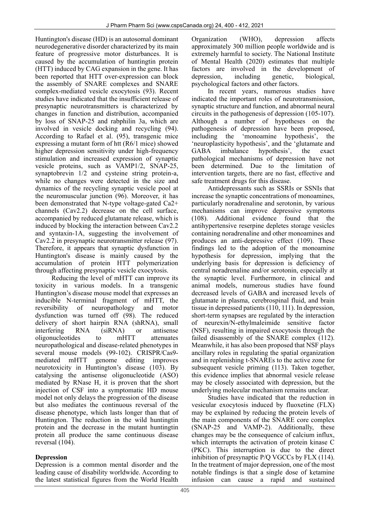Huntington's disease (HD) is an autosomal dominant neurodegenerative disorder characterized by its main feature of progressive motor disturbances. It is caused by the accumulation of huntingtin protein (HTT) induced by CAG expansion in the gene. It has been reported that HTT over-expression can block the assembly of SNARE complexes and SNARE complex-mediated vesicle exocytosis (93). Recent studies have indicated that the insufficient release of presynaptic neurotransmitters is characterized by changes in function and distribution, accompanied by loss of SNAP-25 and rabphilin 3a, which are involved in vesicle docking and recycling (94). According to Rafael et al. (95), transgenic mice expressing a mutant form of htt (R6/1 mice) showed higher depression sensitivity under high-frequency stimulation and increased expression of synaptic vesicle proteins, such as VAMP1/2, SNAP-25, synaptobrevin 1/2 and cysteine string protein-a, while no changes were detected in the size and dynamics of the recycling synaptic vesicle pool at the neuromuscular junction (96). Moreover, it has been demonstrated that N-type voltage-gated Ca2+ channels (Cav2.2) decrease on the cell surface, accompanied by reduced glutamate release, which is induced by blocking the interaction between Cav2.2 and syntaxin-1A, suggesting the involvement of Cav2.2 in presynaptic neurotransmitter release (97). Therefore, it appears that synaptic dysfunction in Huntington's disease is mainly caused by the accumulation of protein HTT polymerization through affecting presynaptic vesicle exocytosis.

Reducing the level of mHTT can improve its toxicity in various models. In a transgenic Huntington's disease mouse model that expresses an inducible N-terminal fragment of mHTT, the reversibility of neuropathology and motor dysfunction was turned off (98). The reduced delivery of short hairpin RNA (shRNA), small interfering RNA (siRNA) or antisense oligonucleotides to mHTT attenuates neuropathological and disease-related phenotypes in several mouse models (99-102). CRISPR/Cas9 mediated mHTT genome editing improves neurotoxicity in Huntington's disease (103). By catalysing the antisense oligonucleotide (ASO) mediated by RNase H, it is proven that the short injection of CSF into a symptomatic HD mouse model not only delays the progression of the disease but also mediates the continuous reversal of the disease phenotype, which lasts longer than that of Huntington. The reduction in the wild huntingtin protein and the decrease in the mutant huntingtin protein all produce the same continuous disease reversal (104).

# **Depression**

Depression is a common mental disorder and the leading cause of disability worldwide. According to the latest statistical figures from the World Health Organization (WHO), depression affects approximately 300 million people worldwide and is extremely harmful to society. The National Institute of Mental Health (2020) estimates that multiple factors are involved in the development of depression, including genetic, biological, psychological factors and other factors.

In recent years, numerous studies have indicated the important roles of neurotransmission, synaptic structure and function, and abnormal neural circuits in the pathogenesis of depression (105-107). Although a number of hypotheses on the pathogenesis of depression have been proposed, including the 'monoamine hypothesis', the 'neuroplasticity hypothesis', and the 'glutamate and GABA imbalance hypothesis', the exact pathological mechanisms of depression have not been determined. Due to the limitation of intervention targets, there are no fast, effective and safe treatment drugs for this disease.

Antidepressants such as SSRIs or SSNIs that increase the synaptic concentrations of monoamines, particularly noradrenaline and serotonin, by various mechanisms can improve depressive symptoms (108). Additional evidence found that the antihypertensive reserpine depletes storage vesicles containing noradrenaline and other monoamines and produces an anti-depressive effect (109). These findings led to the adoption of the monoamine hypothesis for depression, implying that the underlying basis for depression is deficiency of central noradrenaline and/or serotonin, especially at the synaptic level. Furthermore, in clinical and animal models, numerous studies have found decreased levels of GABA and increased levels of glutamate in plasma, cerebrospinal fluid, and brain tissue in depressed patients (110, 111). In depression, short-term synapses are regulated by the interaction of neurexin/N-ethylmaleimide sensitive factor (NSF), resulting in impaired exocytosis through the failed disassembly of the SNARE complex (112). Meanwhile, it has also been proposed that NSF plays ancillary roles in regulating the spatial organization and in replenishing t-SNAREs to the active zone for subsequent vesicle priming (113). Taken together, this evidence implies that abnormal vesicle release may be closely associated with depression, but the underlying molecular mechanism remains unclear.

Studies have indicated that the reduction in vesicular exocytosis induced by fluoxetine (FLX) may be explained by reducing the protein levels of the main components of the SNARE core complex (SNAP-25 and VAMP-2). Additionally, these changes may be the consequence of calcium influx, which interrupts the activation of protein kinase C (PKC). This interruption is due to the direct inhibition of presynaptic P/Q VGCCs by FLX (114). In the treatment of major depression, one of the most notable findings is that a single dose of ketamine infusion can cause a rapid and sustained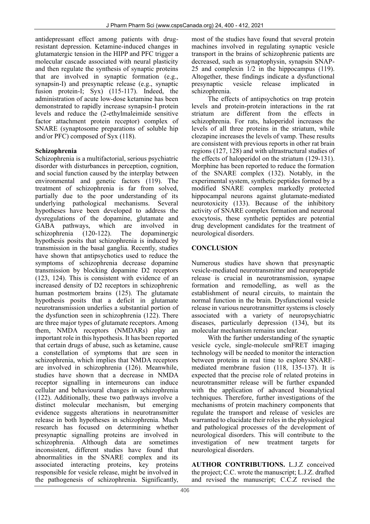antidepressant effect among patients with drugresistant depression. Ketamine-induced changes in glutamatergic tension in the HIPP and PFC trigger a molecular cascade associated with neural plasticity and then regulate the synthesis of synaptic proteins that are involved in synaptic formation (e.g., synapsin-I) and presynaptic release (e.g., synaptic fusion protein-I; Syx) (115-117). Indeed, the administration of acute low-dose ketamine has been demonstrated to rapidly increase synapsin-I protein levels and reduce the (2-ethylmaleimide sensitive factor attachment protein receptor) complex of SNARE (synaptosome preparations of soluble hip and/or PFC) composed of Syx (118).

# **Schizophrenia**

Schizophrenia is a multifactorial, serious psychiatric disorder with disturbances in perception, cognition, and social function caused by the interplay between environmental and genetic factors (119). The treatment of schizophrenia is far from solved, partially due to the poor understanding of its underlying pathological mechanisms. Several hypotheses have been developed to address the dysregulations of the dopamine, glutamate and GABA pathways, which are involved in schizophrenia (120-122). The dopaminergic hypothesis posits that schizophrenia is induced by transmission in the basal ganglia. Recently, studies have shown that antipsychotics used to reduce the symptoms of schizophrenia decrease dopamine transmission by blocking dopamine D2 receptors (123, 124). This is consistent with evidence of an increased density of D2 receptors in schizophrenic human postmortem brains (125). The glutamate hypothesis posits that a deficit in glutamate neurotransmission underlies a substantial portion of the dysfunction seen in schizophrenia (122). There are three major types of glutamate receptors. Among them, NMDA receptors (NMDARs) play an important role in this hypothesis. It has been reported that certain drugs of abuse, such as ketamine, cause a constellation of symptoms that are seen in schizophrenia, which implies that NMDA receptors are involved in schizophrenia (126). Meanwhile, studies have shown that a decrease in NMDA receptor signalling in interneurons can induce cellular and behavioural changes in schizophrenia (122). Additionally, these two pathways involve a distinct molecular mechanism, but emerging evidence suggests alterations in neurotransmitter release in both hypotheses in schizophrenia. Much research has focused on determining whether presynaptic signalling proteins are involved in schizophrenia. Although data are sometimes inconsistent, different studies have found that abnormalities in the SNARE complex and its associated interacting proteins, key proteins responsible for vesicle release, might be involved in the pathogenesis of schizophrenia. Significantly,

most of the studies have found that several protein machines involved in regulating synaptic vesicle transport in the brains of schizophrenic patients are decreased, such as synaptophysin, synapsin SNAP-25 and complexin 1/2 in the hippocampus (119). Altogether, these findings indicate a dysfunctional presynaptic vesicle release implicated in schizophrenia.

The effects of antipsychotics on trap protein levels and protein-protein interactions in the rat striatum are different from the effects in schizophrenia. For rats, haloperidol increases the levels of all three proteins in the striatum, while clozapine increases the levels of vamp. These results are consistent with previous reports in other rat brain regions (127, 128) and with ultrastructural studies of the effects of haloperidol on the striatum (129-131). Morphine has been reported to reduce the formation of the SNARE complex (132). Notably, in the experimental system, synthetic peptides formed by a modified SNARE complex markedly protected hippocampal neurons against glutamate-mediated neurotoxicity (133). Because of the inhibitory activity of SNARE complex formation and neuronal exocytosis, these synthetic peptides are potential drug development candidates for the treatment of neurological disorders.

# **CONCLUSION**

Numerous studies have shown that presynaptic vesicle-mediated neurotransmitter and neuropeptide release is crucial in neurotransmission, synapse formation and remodelling, as well as the establishment of neural circuits, to maintain the normal function in the brain. Dysfunctional vesicle release in various neurotransmitter systems is closely associated with a variety of neuropsychiatric diseases, particularly depression (134), but its molecular mechanism remains unclear.

With the further understanding of the synaptic vesicle cycle, single-molecule smFRET imaging technology will be needed to monitor the interaction between proteins in real time to explore SNAREmediated membrane fusion (118, 135-137). It is expected that the precise role of related proteins in neurotransmitter release will be further expanded with the application of advanced bioanalytical techniques. Therefore, further investigations of the mechanisms of protein machinery components that regulate the transport and release of vesicles are warranted to elucidate their roles in the physiological and pathological processes of the development of neurological disorders. This will contribute to the investigation of new treatment targets for neurological disorders.

**AUTHOR CONTRIBUTIONS.** L.J.Z conceived the project; C.C. wrote the manuscript; L.J.Z. drafted and revised the manuscript; C.C.Z revised the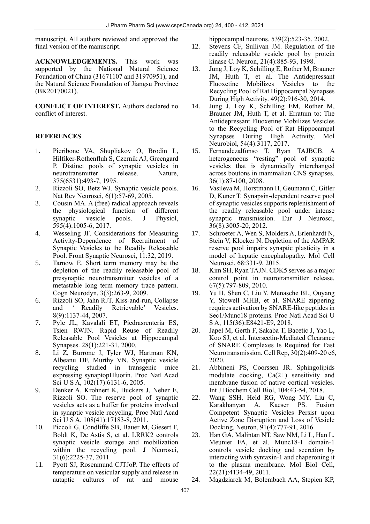manuscript. All authors reviewed and approved the final version of the manuscript.

**ACKNOWLEDGEMENTS.** This work was supported by the National Natural Science Foundation of China (31671107 and 31970951), and the Natural Science Foundation of Jiangsu Province (BK20170021).

**CONFLICT OF INTEREST.** Authors declared no conflict of interest.

# **REFERENCES**

- 1. Pieribone VA, Shupliakov O, Brodin L, Hilfiker-Rothenfluh S, Czernik AJ, Greengard P. Distinct pools of synaptic vesicles in neurotransmitter release. Nature, 375(6531):493-7, 1995.
- 2. Rizzoli SO, Betz WJ. Synaptic vesicle pools. Nat Rev Neurosci, 6(1):57-69, 2005.
- 3. Cousin MA. A (free) radical approach reveals the physiological function of different synaptic vesicle pools. J Physiol, 595(4):1005-6, 2017.
- 4. Wesseling JF. Considerations for Measuring Activity-Dependence of Recruitment of Synaptic Vesicles to the Readily Releasable Pool. Front Synaptic Neurosci, 11:32, 2019.
- 5. Tarnow E. Short term memory may be the depletion of the readily releasable pool of presynaptic neurotransmitter vesicles of a metastable long term memory trace pattern. Cogn Neurodyn, 3(3):263-9, 2009.
- 6. Rizzoli SO, Jahn RJT. Kiss‐and‐run, Collapse and ' Readily Retrievable' Vesicles. 8(9):1137-44, 2007.
- 7. Pyle JL, Kavalali ET, Piedrasrenteria ES, Tsien RWJN. Rapid Reuse of Readily Releasable Pool Vesicles at Hippocampal Synapses. 28(1):221-31, 2000.
- 8. Li Z, Burrone J, Tyler WJ, Hartman KN, Albeanu DF, Murthy VN. Synaptic vesicle recycling studied in transgenic mice expressing synaptopHluorin. Proc Natl Acad Sci U S A, 102(17):6131-6, 2005.
- 9. Denker A, Krohnert K, Buckers J, Neher E, Rizzoli SO. The reserve pool of synaptic vesicles acts as a buffer for proteins involved in synaptic vesicle recycling. Proc Natl Acad Sci U S A,  $108(41)$ :17183-8, 2011.
- 10. Piccoli G, Condliffe SB, Bauer M, Giesert F, Boldt K, De Astis S, et al. LRRK2 controls synaptic vesicle storage and mobilization within the recycling pool. J Neurosci, 31(6):2225-37, 2011.
- 11. Pyott SJ, Rosenmund CJTJoP. The effects of temperature on vesicular supply and release in autaptic cultures of rat and mouse

hippocampal neurons. 539(2):523-35, 2002.

- 12. Stevens CF, Sullivan JM. Regulation of the readily releasable vesicle pool by protein kinase C. Neuron, 21(4):885-93, 1998.
- 13. Jung J, Loy K, Schilling E, Rother M, Brauner JM, Huth T, et al. The Antidepressant Fluoxetine Mobilizes Vesicles to the Recycling Pool of Rat Hippocampal Synapses During High Activity. 49(2):916-30, 2014.
- 14. Jung J, Loy K, Schilling EM, Rother M, Brauner JM, Huth T, et al. Erratum to: The Antidepressant Fluoxetine Mobilizes Vesicles to the Recycling Pool of Rat Hippocampal Synapses During High Activity. Mol Neurobiol, 54(4):3117, 2017.
- 15. Fernandezalfonso T, Ryan TAJBCB. A heterogeneous "resting" pool of synaptic vesicles that is dynamically interchanged across boutons in mammalian CNS synapses. 36(1):87-100, 2008.
- 16. Vasileva M, Horstmann H, Geumann C, Gitler D, Kuner T. Synapsin-dependent reserve pool of synaptic vesicles supports replenishment of the readily releasable pool under intense synaptic transmission. Eur J Neurosci, 36(8):3005-20, 2012.
- 17. Schroeter A, Wen S, Molders A, Erlenhardt N, Stein V, Klocker N. Depletion of the AMPAR reserve pool impairs synaptic plasticity in a model of hepatic encephalopathy. Mol Cell Neurosci, 68:331-9, 2015.
- 18. Kim SH, Ryan TAJN. CDK5 serves as a major control point in neurotransmitter release. 67(5):797-809, 2010.
- 19. Yu H, Shen C, Liu Y, Menasche BL, Ouyang Y, Stowell MHB, et al. SNARE zippering requires activation by SNARE-like peptides in Sec1/Munc18 proteins. Proc Natl Acad Sci U S A, 115(36):E8421-E9, 2018.
- 20. Japel M, Gerth F, Sakaba T, Bacetic J, Yao L, Koo SJ, et al. Intersectin-Mediated Clearance of SNARE Complexes Is Required for Fast Neurotransmission. Cell Rep, 30(2):409-20 e6, 2020.
- 21. Abbineni PS, Coorssen JR. Sphingolipids modulate docking, Ca(2+) sensitivity and membrane fusion of native cortical vesicles. Int J Biochem Cell Biol, 104:43-54, 2018.
- 22. Wang SSH, Held RG, Wong MY, Liu C, Karakhanyan A, Kaeser PS. Fusion Competent Synaptic Vesicles Persist upon Active Zone Disruption and Loss of Vesicle Docking. Neuron, 91(4):777-91, 2016.
- 23. Han GA, Malintan NT, Saw NM, Li L, Han L, Meunier FA, et al. Munc18-1 domain-1 controls vesicle docking and secretion by interacting with syntaxin-1 and chaperoning it to the plasma membrane. Mol Biol Cell, 22(21):4134-49, 2011.
- 24. Magdziarek M, Bolembach AA, Stepien KP,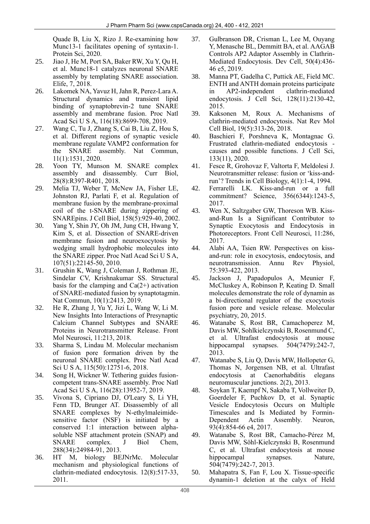Quade B, Liu X, Rizo J. Re-examining how Munc13-1 facilitates opening of syntaxin-1. Protein Sci, 2020.

- 25. Jiao J, He M, Port SA, Baker RW, Xu Y, Qu H, et al. Munc18-1 catalyzes neuronal SNARE assembly by templating SNARE association. Elife, 7, 2018.
- 26. Lakomek NA, Yavuz H, Jahn R, Perez-Lara A. Structural dynamics and transient lipid binding of synaptobrevin-2 tune SNARE assembly and membrane fusion. Proc Natl Acad Sci U S A, 116(18):8699-708, 2019.
- 27. Wang C, Tu J, Zhang S, Cai B, Liu Z, Hou S, et al. Different regions of synaptic vesicle membrane regulate VAMP2 conformation for the SNARE assembly. Nat Commun, 11(1):1531, 2020.
- 28. Yoon TY, Munson M. SNARE complex assembly and disassembly. Curr Biol, 28(8):R397-R401, 2018.
- 29. Melia TJ, Weber T, McNew JA, Fisher LE, Johnston RJ, Parlati F, et al. Regulation of membrane fusion by the membrane-proximal coil of the t-SNARE during zippering of SNAREpins. J Cell Biol, 158(5):929-40, 2002.
- 30. Yang Y, Shin JY, Oh JM, Jung CH, Hwang Y, Kim S, et al. Dissection of SNARE-driven membrane fusion and neuroexocytosis by wedging small hydrophobic molecules into the SNARE zipper. Proc Natl Acad Sci U S A, 107(51):22145-50, 2010.
- 31. Grushin K, Wang J, Coleman J, Rothman JE, Sindelar CV, Krishnakumar SS. Structural basis for the clamping and  $Ca(2+)$  activation of SNARE-mediated fusion by synaptotagmin. Nat Commun, 10(1):2413, 2019.
- 32. He R, Zhang J, Yu Y, Jizi L, Wang W, Li M. New Insights Into Interactions of Presynaptic Calcium Channel Subtypes and SNARE Proteins in Neurotransmitter Release. Front Mol Neurosci, 11:213, 2018.
- 33. Sharma S, Lindau M. Molecular mechanism of fusion pore formation driven by the neuronal SNARE complex. Proc Natl Acad Sci U S A, 115(50):12751-6, 2018.
- 34. Song H, Wickner W. Tethering guides fusioncompetent trans-SNARE assembly. Proc Natl Acad Sci U S A, 116(28):13952-7, 2019.
- 35. Vivona S, Cipriano DJ, O'Leary S, Li YH, Fenn TD, Brunger AT. Disassembly of all SNARE complexes by N-ethylmaleimidesensitive factor (NSF) is initiated by a conserved 1:1 interaction between alphasoluble NSF attachment protein (SNAP) and SNARE complex. J Biol Chem, 288(34):24984-91, 2013.
- 36. HT M, biology BEJNrMc. Molecular mechanism and physiological functions of clathrin-mediated endocytosis. 12(8):517-33, 2011.
- 37. Gulbranson DR, Crisman L, Lee M, Ouyang Y, Menasche BL, Demmitt BA, et al. AAGAB Controls AP2 Adaptor Assembly in Clathrin-Mediated Endocytosis. Dev Cell, 50(4):436- 46 e5, 2019.
- 38. Manna PT, Gadelha C, Puttick AE, Field MC. ENTH and ANTH domain proteins participate in AP2-independent clathrin-mediated endocytosis. J Cell Sci, 128(11):2130-42, 2015.
- 39. Kaksonen M, Roux A. Mechanisms of clathrin-mediated endocytosis. Nat Rev Mol Cell Biol, 19(5):313-26, 2018.
- 40. Baschieri F, Porshneva K, Montagnac G. Frustrated clathrin-mediated endocytosis causes and possible functions. J Cell Sci, 133(11), 2020.
- 41. Fesce R, Grohovaz F, Valtorta F, Meldolesi J. Neurotransmitter release: fusion or 'kiss-andrun'? Trends in Cell Biology, 4(1):1-4, 1994.
- 42. Ferrarelli LK. Kiss-and-run or a full commitment? Science, 356(6344):1243-5, 2017.
- 43. Wen X, Saltzgaber GW, Thoreson WB. Kissand-Run Is a Significant Contributor to Synaptic Exocytosis and Endocytosis in Photoreceptors. Front Cell Neurosci, 11:286, 2017.
- 44. Alabi AA, Tsien RW. Perspectives on kissand-run: role in exocytosis, endocytosis, and neurotransmission. Annu Rev Physiol, 75:393-422, 2013.
- 45. Jackson J, Papadopulos A, Meunier F, McCluskey A, Robinson P, Keating D. Small molecules demonstrate the role of dynamin as a bi-directional regulator of the exocytosis fusion pore and vesicle release. Molecular psychiatry, 20, 2015.
- 46. Watanabe S, Rost BR, Camachoperez M, Davis MW, Sohlkielczynski B, Rosenmund C, et al. Ultrafast endocytosis at mouse hippocampal synapses. 504(7479):242-7, 2013.
- 47. Watanabe S, Liu Q, Davis MW, Hollopeter G, Thomas N, Jorgensen NB, et al. Ultrafast endocytosis at Caenorhabditis elegans neuromuscular junctions. 2(2), 2013.
- 48. Soykan T, Kaempf N, Sakaba T, Vollweiter D, Goerdeler F, Puchkov D, et al. Synaptic Vesicle Endocytosis Occurs on Multiple Timescales and Is Mediated by Formin-Dependent Actin Assembly. Neuron, 93(4):854-66 e4, 2017.
- 49. Watanabe S, Rost BR, Camacho-Pérez M, Davis MW, Söhl-Kielczynski B, Rosenmund C, et al. Ultrafast endocytosis at mouse hippocampal synapses. Nature, 504(7479):242-7, 2013.
- 50. Mahapatra S, Fan F, Lou X. Tissue-specific dynamin-1 deletion at the calyx of Held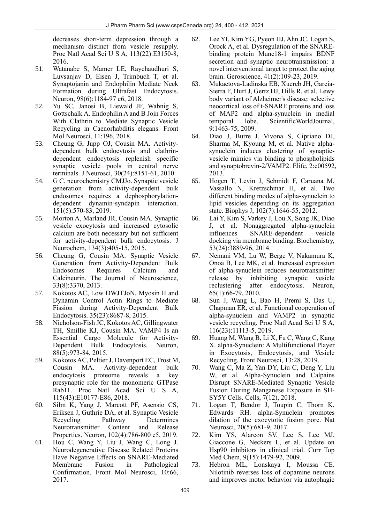decreases short-term depression through a mechanism distinct from vesicle resupply. Proc Natl Acad Sci U S A, 113(22):E3150-8, 2016.

- 51. Watanabe S, Mamer LE, Raychaudhuri S, Luvsanjav D, Eisen J, Trimbuch T, et al. Synaptojanin and Endophilin Mediate Neck Formation during Ultrafast Endocytosis. Neuron, 98(6):1184-97 e6, 2018.
- 52. Yu SC, Janosi B, Liewald JF, Wabnig S, Gottschalk A. Endophilin A and B Join Forces With Clathrin to Mediate Synaptic Vesicle Recycling in Caenorhabditis elegans. Front Mol Neurosci, 11:196, 2018.
- 53. Cheung G, Jupp OJ, Cousin MA. Activitydependent bulk endocytosis and clathrindependent endocytosis replenish specific synaptic vesicle pools in central nerve terminals. J Neurosci, 30(24):8151-61, 2010.
- 54. G C, neurochemistry CMJJo. Synaptic vesicle generation from activity-dependent bulk endosomes requires a dephosphorylationdependent dynamin-syndapin interaction. 151(5):570-83, 2019.
- 55. Morton A, Marland JR, Cousin MA. Synaptic vesicle exocytosis and increased cytosolic calcium are both necessary but not sufficient for activity-dependent bulk endocytosis. J Neurochem, 134(3):405-15, 2015.
- 56. Cheung G, Cousin MA. Synaptic Vesicle Generation from Activity-Dependent Bulk Endosomes Requires Calcium and Calcineurin. The Journal of Neuroscience, 33(8):3370, 2013.
- 57. Kokotos AC, Low DWJTJoN. Myosin II and Dynamin Control Actin Rings to Mediate Fission during Activity-Dependent Bulk Endocytosis. 35(23):8687-8, 2015.
- 58. Nicholson-Fish JC, Kokotos AC, Gillingwater TH, Smillie KJ, Cousin MA. VAMP4 Is an Essential Cargo Molecule for Activity-Dependent Bulk Endocytosis. Neuron, 88(5):973-84, 2015.
- 59. Kokotos AC, Peltier J, Davenport EC, Trost M, Cousin MA. Activity-dependent bulk endocytosis proteome reveals a key presynaptic role for the monomeric GTPase Rab11. Proc Natl Acad Sci U S A, 115(43):E10177-E86, 2018.
- 60. Silm K, Yang J, Marcott PF, Asensio CS, Eriksen J, Guthrie DA, et al. Synaptic Vesicle Recycling Pathway Determines Neurotransmitter Content and Release Properties. Neuron, 102(4):786-800 e5, 2019.
- 61. Hou C, Wang Y, Liu J, Wang C, Long J. Neurodegenerative Disease Related Proteins Have Negative Effects on SNARE-Mediated Membrane Fusion in Pathological Confirmation. Front Mol Neurosci, 10:66, 2017.
- 62. Lee YI, Kim YG, Pyeon HJ, Ahn JC, Logan S, Orock A, et al. Dysregulation of the SNAREbinding protein Munc18-1 impairs BDNF secretion and synaptic neurotransmission: a novel interventional target to protect the aging brain. Geroscience, 41(2):109-23, 2019.
- 63. Mukaetova-Ladinska EB, Xuereb JH, Garcia-Sierra F, Hurt J, Gertz HJ, Hills R, et al. Lewy body variant of Alzheimer's disease: selective neocortical loss of t-SNARE proteins and loss of MAP2 and alpha-synuclein in medial temporal lobe. ScientificWorldJournal, 9:1463-75, 2009.
- 64. Diao J, Burre J, Vivona S, Cipriano DJ, Sharma M, Kyoung M, et al. Native alphasynuclein induces clustering of synapticvesicle mimics via binding to phospholipids and synaptobrevin-2/VAMP2. Elife, 2:e00592, 2013.
- 65. Hogen T, Levin J, Schmidt F, Caruana M, Vassallo N, Kretzschmar H, et al. Two different binding modes of alpha-synuclein to lipid vesicles depending on its aggregation state. Biophys J, 102(7):1646-55, 2012.
- 66. Lai Y, Kim S, Varkey J, Lou X, Song JK, Diao J, et al. Nonaggregated alpha-synuclein influences SNARE-dependent vesicle docking via membrane binding. Biochemistry, 53(24):3889-96, 2014.
- 67. Nemani VM, Lu W, Berge V, Nakamura K, Onoa B, Lee MK, et al. Increased expression of alpha-synuclein reduces neurotransmitter release by inhibiting synaptic vesicle reclustering after endocytosis. Neuron, 65(1):66-79, 2010.
- 68. Sun J, Wang L, Bao H, Premi S, Das U, Chapman ER, et al. Functional cooperation of alpha-synuclein and VAMP2 in synaptic vesicle recycling. Proc Natl Acad Sci U S A, 116(23):11113-5, 2019.
- 69. Huang M, Wang B, Li X, Fu C, Wang C, Kang X. alpha-Synuclein: A Multifunctional Player in Exocytosis, Endocytosis, and Vesicle Recycling. Front Neurosci, 13:28, 2019.
- 70. Wang C, Ma Z, Yan DY, Liu C, Deng Y, Liu W, et al. Alpha-Synuclein and Calpains Disrupt SNARE-Mediated Synaptic Vesicle Fusion During Manganese Exposure in SH-SY5Y Cells. Cells, 7(12), 2018.
- 71. Logan T, Bendor J, Toupin C, Thorn K, Edwards RH. alpha-Synuclein promotes dilation of the exocytotic fusion pore. Nat Neurosci, 20(5):681-9, 2017.
- 72. Kim YS, Alarcon SV, Lee S, Lee MJ, Giaccone G, Neckers L, et al. Update on Hsp90 inhibitors in clinical trial. Curr Top Med Chem, 9(15):1479-92, 2009.
- 73. Hebron ML, Lonskaya I, Moussa CE. Nilotinib reverses loss of dopamine neurons and improves motor behavior via autophagic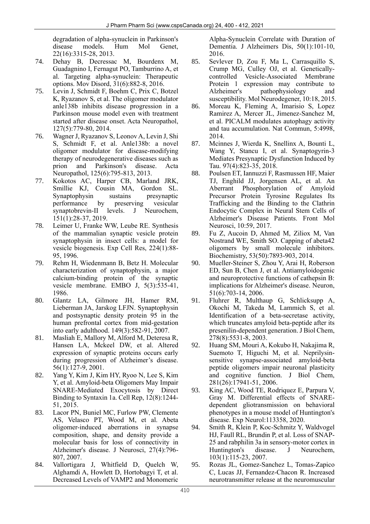degradation of alpha-synuclein in Parkinson's disease models. Hum Mol Genet, 22(16):3315-28, 2013.

- 74. Dehay B, Decressac M, Bourdenx M, Guadagnino I, Fernagut PO, Tamburrino A, et al. Targeting alpha-synuclein: Therapeutic options. Mov Disord, 31(6):882-8, 2016.
- 75. Levin J, Schmidt F, Boehm C, Prix C, Botzel K, Ryazanov S, et al. The oligomer modulator anle138b inhibits disease progression in a Parkinson mouse model even with treatment started after disease onset. Acta Neuropathol, 127(5):779-80, 2014.
- 76. Wagner J, Ryazanov S, Leonov A, Levin J, Shi S, Schmidt F, et al. Anle138b: a novel oligomer modulator for disease-modifying therapy of neurodegenerative diseases such as prion and Parkinson's disease. Acta Neuropathol, 125(6):795-813, 2013.
- 77. Kokotos AC, Harper CB, Marland JRK, Smillie KJ, Cousin MA, Gordon SL. Synaptophysin sustains presynaptic performance by preserving vesicular synaptobrevin-II levels. J Neurochem, 151(1):28-37, 2019.
- 78. Leimer U, Franke WW, Leube RE. Synthesis of the mammalian synaptic vesicle protein synaptophysin in insect cells: a model for vesicle biogenesis. Exp Cell Res, 224(1):88- 95, 1996.
- 79. Rehm H, Wiedenmann B, Betz H. Molecular characterization of synaptophysin, a major calcium-binding protein of the synaptic vesicle membrane. EMBO J, 5(3):535-41, 1986.
- 80. Glantz LA, Gilmore JH, Hamer RM, Lieberman JA, Jarskog LFJN. Synaptophysin and postsynaptic density protein 95 in the human prefrontal cortex from mid-gestation into early adulthood. 149(3):582-91, 2007.
- 81. Masliah E, Mallory M, Alford M, Deteresa R, Hansen LA, Mckeel DW, et al. Altered expression of synaptic proteins occurs early during progression of Alzheimer's disease. 56(1):127-9, 2001.
- 82. Yang Y, Kim J, Kim HY, Ryoo N, Lee S, Kim Y, et al. Amyloid-beta Oligomers May Impair SNARE-Mediated Exocytosis by Direct Binding to Syntaxin 1a. Cell Rep, 12(8):1244- 51, 2015.
- 83. Lacor PN, Buniel MC, Furlow PW, Clemente AS, Velasco PT, Wood M, et al. Abeta oligomer-induced aberrations in synapse composition, shape, and density provide a molecular basis for loss of connectivity in Alzheimer's disease. J Neurosci, 27(4):796- 807, 2007.
- 84. Vallortigara J, Whitfield D, Quelch W, Alghamdi A, Howlett D, Hortobagyi T, et al. Decreased Levels of VAMP2 and Monomeric

Alpha-Synuclein Correlate with Duration of Dementia. J Alzheimers Dis, 50(1):101-10, 2016.

- 85. Sevlever D, Zou F, Ma L, Carrasquillo S, Crump MG, Culley OJ, et al. Geneticallycontrolled Vesicle-Associated Membrane Protein 1 expression may contribute to Alzheimer's pathophysiology and susceptibility. Mol Neurodegener, 10:18, 2015.
- 86. Moreau K, Fleming A, Imarisio S, Lopez Ramirez A, Mercer JL, Jimenez-Sanchez M, et al. PICALM modulates autophagy activity and tau accumulation. Nat Commun, 5:4998, 2014.
- 87. Mcinnes J, Wierda K, Snellinx A, Bounti L, Wang Y, Stancu I, et al. Synaptogyrin-3 Mediates Presynaptic Dysfunction Induced by Tau. 97(4):823-35, 2018.
- 88. Poulsen ET, Iannuzzi F, Rasmussen HF, Maier TJ, Enghild JJ, Jorgensen AL, et al. An Aberrant Phosphorylation of Amyloid Precursor Protein Tyrosine Regulates Its Trafficking and the Binding to the Clathrin Endocytic Complex in Neural Stem Cells of Alzheimer's Disease Patients. Front Mol Neurosci, 10:59, 2017.
- 89. Fu Z, Aucoin D, Ahmed M, Ziliox M, Van Nostrand WE, Smith SO. Capping of abeta42 oligomers by small molecule inhibitors. Biochemistry, 53(50):7893-903, 2014.
- 90. Mueller-Steiner S, Zhou Y, Arai H, Roberson ED, Sun B, Chen J, et al. Antiamyloidogenic and neuroprotective functions of cathepsin B: implications for Alzheimer's disease. Neuron, 51(6):703-14, 2006.
- 91. Fluhrer R, Multhaup G, Schlicksupp A, Okochi M, Takeda M, Lammich S, et al. Identification of a beta-secretase activity, which truncates amyloid beta-peptide after its presenilin-dependent generation. J Biol Chem, 278(8):5531-8, 2003.
- 92. Huang SM, Mouri A, Kokubo H, Nakajima R, Suemoto T, Higuchi M, et al. Neprilysinsensitive synapse-associated amyloid-beta peptide oligomers impair neuronal plasticity and cognitive function. J Biol Chem, 281(26):17941-51, 2006.
- 93. King AC, Wood TE, Rodriquez E, Parpura V, Gray M. Differential effects of SNAREdependent gliotransmission on behavioral phenotypes in a mouse model of Huntington's disease. Exp Neurol:113358, 2020.
- 94. Smith R, Klein P, Koc-Schmitz Y, Waldvogel HJ, Faull RL, Brundin P, et al. Loss of SNAP-25 and rabphilin 3a in sensory-motor cortex in Huntington's disease. J Neurochem, 103(1):115-23, 2007.
- 95. Rozas JL, Gomez-Sanchez L, Tomas-Zapico C, Lucas JJ, Fernandez-Chacon R. Increased neurotransmitter release at the neuromuscular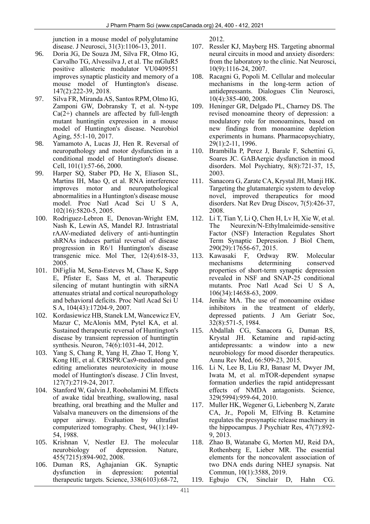junction in a mouse model of polyglutamine disease. J Neurosci, 31(3):1106-13, 2011.

- 96. Doria JG, De Souza JM, Silva FR, Olmo IG, Carvalho TG, Alvessilva J, et al. The mGluR5 positive allosteric modulator VU0409551 improves synaptic plasticity and memory of a mouse model of Huntington's disease. 147(2):222-39, 2018.
- 97. Silva FR, Miranda AS, Santos RPM, Olmo IG, Zamponi GW, Dobransky T, et al. N-type Ca(2+) channels are affected by full-length mutant huntingtin expression in a mouse model of Huntington's disease. Neurobiol Aging, 55:1-10, 2017.
- 98. Yamamoto A, Lucas JJ, Hen R. Reversal of neuropathology and motor dysfunction in a conditional model of Huntington's disease. Cell, 101(1):57-66, 2000.
- 99. Harper SQ, Staber PD, He X, Eliason SL, Martins IH, Mao Q, et al. RNA interference improves motor and neuropathological abnormalities in a Huntington's disease mouse model. Proc Natl Acad Sci U S A, 102(16):5820-5, 2005.
- 100. Rodriguez-Lebron E, Denovan-Wright EM, Nash K, Lewin AS, Mandel RJ. Intrastriatal rAAV-mediated delivery of anti-huntingtin shRNAs induces partial reversal of disease progression in R6/1 Huntington's disease transgenic mice. Mol Ther, 12(4):618-33, 2005.
- 101. DiFiglia M, Sena-Esteves M, Chase K, Sapp E, Pfister E, Sass M, et al. Therapeutic silencing of mutant huntingtin with siRNA attenuates striatal and cortical neuropathology and behavioral deficits. Proc Natl Acad Sci U S A, 104(43):17204-9, 2007.
- 102. Kordasiewicz HB, Stanek LM, Wancewicz EV, Mazur C, McAlonis MM, Pytel KA, et al. Sustained therapeutic reversal of Huntington's disease by transient repression of huntingtin synthesis. Neuron, 74(6):1031-44, 2012.
- 103. Yang S, Chang R, Yang H, Zhao T, Hong Y, Kong HE, et al. CRISPR/Cas9-mediated gene editing ameliorates neurotoxicity in mouse model of Huntington's disease. J Clin Invest, 127(7):2719-24, 2017.
- 104. Stanford W, Galvin J, Rooholamini M. Effects of awake tidal breathing, swallowing, nasal breathing, oral breathing and the Muller and Valsalva maneuvers on the dimensions of the upper airway. Evaluation by ultrafast computerized tomography. Chest, 94(1):149- 54, 1988.
- 105. Krishnan V, Nestler EJ. The molecular neurobiology of depression. Nature, 455(7215):894-902, 2008.
- 106. Duman RS, Aghajanian GK. Synaptic dysfunction in depression: potential therapeutic targets. Science, 338(6103):68-72,

2012.

- 107. Ressler KJ, Mayberg HS. Targeting abnormal neural circuits in mood and anxiety disorders: from the laboratory to the clinic. Nat Neurosci, 10(9):1116-24, 2007.
- 108. Racagni G, Popoli M. Cellular and molecular mechanisms in the long-term action of antidepressants. Dialogues Clin Neurosci, 10(4):385-400, 2008.
- 109. Heninger GR, Delgado PL, Charney DS. The revised monoamine theory of depression: a modulatory role for monoamines, based on new findings from monoamine depletion experiments in humans. Pharmacopsychiatry, 29(1):2-11, 1996.
- 110. Brambilla P, Perez J, Barale F, Schettini G, Soares JC. GABAergic dysfunction in mood disorders. Mol Psychiatry, 8(8):721-37, 15, 2003.
- 111. Sanacora G, Zarate CA, Krystal JH, Manji HK. Targeting the glutamatergic system to develop novel, improved therapeutics for mood disorders. Nat Rev Drug Discov, 7(5):426-37, 2008.
- 112. Li T, Tian Y, Li Q, Chen H, Lv H, Xie W, et al. The Neurexin/N-Ethylmaleimide-sensitive Factor (NSF) Interaction Regulates Short Term Synaptic Depression. J Biol Chem, 290(29):17656-67, 2015.
- 113. Kawasaki F, Ordway RW. Molecular mechanisms determining conserved properties of short-term synaptic depression revealed in NSF and SNAP-25 conditional mutants. Proc Natl Acad Sci U S A, 106(34):14658-63, 2009.
- 114. Jenike MA. The use of monoamine oxidase inhibitors in the treatment of elderly, depressed patients. J Am Geriatr Soc, 32(8):571-5, 1984.
- 115. Abdallah CG, Sanacora G, Duman RS, Krystal JH. Ketamine and rapid-acting antidepressants: a window into a new neurobiology for mood disorder therapeutics. Annu Rev Med, 66:509-23, 2015.
- 116. Li N, Lee B, Liu RJ, Banasr M, Dwyer JM, Iwata M, et al. mTOR-dependent synapse formation underlies the rapid antidepressant effects of NMDA antagonists. Science, 329(5994):959-64, 2010.
- 117. Muller HK, Wegener G, Liebenberg N, Zarate CA, Jr., Popoli M, Elfving B. Ketamine regulates the presynaptic release machinery in the hippocampus. J Psychiatr Res, 47(7):892- 9, 2013.
- 118. Zhao B, Watanabe G, Morten MJ, Reid DA, Rothenberg E, Lieber MR. The essential elements for the noncovalent association of two DNA ends during NHEJ synapsis. Nat Commun, 10(1):3588, 2019.
- 119. Egbujo CN, Sinclair D, Hahn CG.